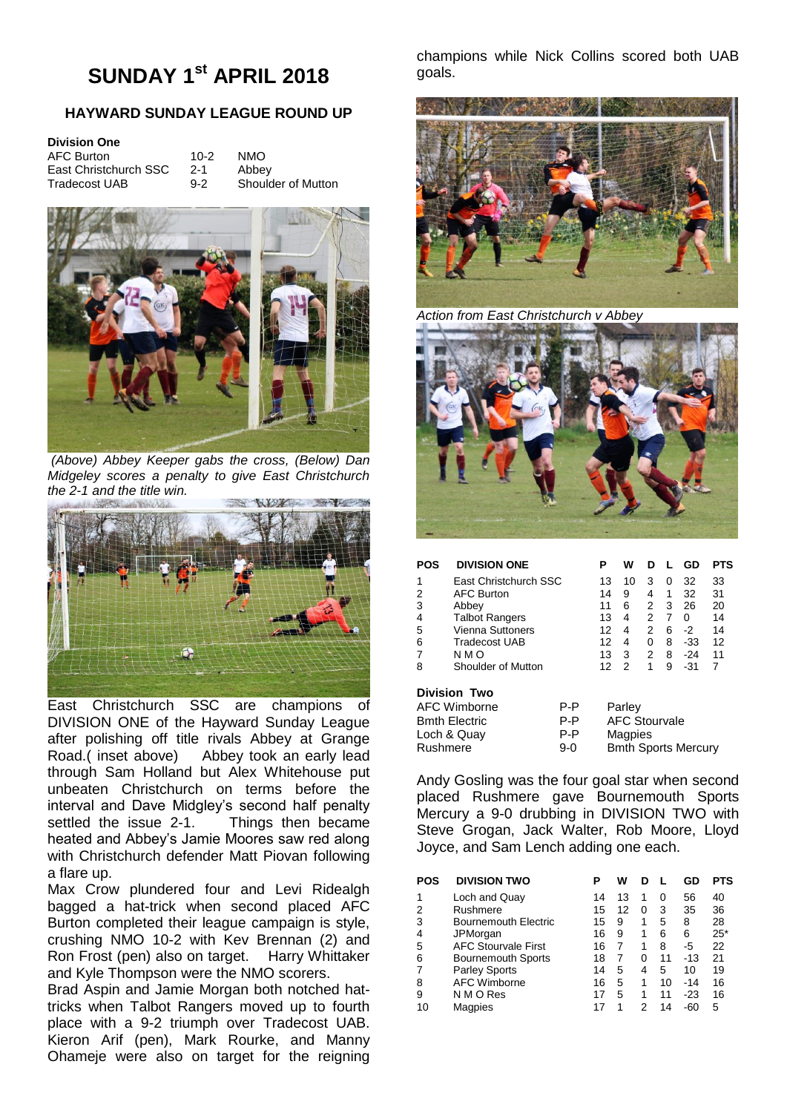# **SUNDAY 1st APRIL 2018**

# **HAYWARD SUNDAY LEAGUE ROUND UP**

| <b>Division One</b>   |         |                    |
|-----------------------|---------|--------------------|
| AFC Burton            | 10-2    | NMO.               |
| East Christchurch SSC | $2 - 1$ | Abbey              |
| <b>Tradecost UAB</b>  | $9 - 2$ | Shoulder of Mutton |



*(Above) Abbey Keeper gabs the cross, (Below) Dan Midgeley scores a penalty to give East Christchurch the 2-1 and the title win.*



East Christchurch SSC are champions of DIVISION ONE of the Hayward Sunday League after polishing off title rivals Abbey at Grange Road.( inset above) Abbey took an early lead through Sam Holland but Alex Whitehouse put unbeaten Christchurch on terms before the interval and Dave Midgley's second half penalty settled the issue 2-1. Things then became heated and Abbey's Jamie Moores saw red along with Christchurch defender Matt Piovan following a flare up.

Max Crow plundered four and Levi Ridealgh bagged a hat-trick when second placed AFC Burton completed their league campaign is style, crushing NMO 10-2 with Kev Brennan (2) and Ron Frost (pen) also on target. Harry Whittaker and Kyle Thompson were the NMO scorers.

Brad Aspin and Jamie Morgan both notched hattricks when Talbot Rangers moved up to fourth place with a 9-2 triumph over Tradecost UAB. Kieron Arif (pen), Mark Rourke, and Manny Ohameje were also on target for the reigning

champions while Nick Collins scored both UAB goals.



*Action from East Christchurch v Abbey*



# **POS DIVISION ONE P W D L GD PTS**

| 1<br>2<br>3<br>4<br>5<br>6<br>7 | East Christchurch SSC<br><b>AFC Burton</b><br>Abbey<br><b>Talbot Rangers</b><br>Vienna Suttoners<br><b>Tradecost UAB</b><br>N M O | 13<br>14<br>11<br>13<br>12<br>12<br>13 | 10<br>9<br>6<br>4<br>4<br>3 | 3<br>4<br>2<br>2<br>2<br>ŋ<br>2 | 3<br>6<br>8<br>8 | 32<br>32<br>26<br>∩<br>-2<br>-33<br>$-24$ | 33<br>31<br>20<br>14<br>14<br>12<br>11 |
|---------------------------------|-----------------------------------------------------------------------------------------------------------------------------------|----------------------------------------|-----------------------------|---------------------------------|------------------|-------------------------------------------|----------------------------------------|
|                                 | Shoulder of Mutton                                                                                                                |                                        |                             |                                 | 9                | -31                                       |                                        |
| 8                               |                                                                                                                                   |                                        |                             |                                 |                  |                                           |                                        |

#### **Division Two**

| P-P | Parley<br><b>AFC Stourvale</b> |
|-----|--------------------------------|
| P-P | Magpies                        |
| 9-0 | <b>Bmth Sports Mercury</b>     |
|     | P-P                            |

Andy Gosling was the four goal star when second placed Rushmere gave Bournemouth Sports Mercury a 9-0 drubbing in DIVISION TWO with Steve Grogan, Jack Walter, Rob Moore, Lloyd Joyce, and Sam Lench adding one each.

| POS | <b>DIVISION TWO</b>        | P  | w  |   |    | GD    | <b>PTS</b> |
|-----|----------------------------|----|----|---|----|-------|------------|
| 1   | Loch and Quay              | 14 | 13 | 1 | 0  | 56    | 40         |
| 2   | Rushmere                   | 15 | 12 | Ω | 3  | 35    | 36         |
| 3   | Bournemouth Electric       | 15 | 9  | 1 | 5  | 8     | 28         |
| 4   | JPMorgan                   | 16 | 9  | 1 | 6  | 6     | $25*$      |
| 5   | <b>AFC Stourvale First</b> | 16 | 7  | 1 | 8  | -5    | 22         |
| 6   | <b>Bournemouth Sports</b>  | 18 |    | 0 | 11 | $-13$ | 21         |
|     | <b>Parley Sports</b>       | 14 | 5  | 4 | 5  | 10    | 19         |
| 8   | <b>AFC Wimborne</b>        | 16 | 5  | 1 | 10 | $-14$ | 16         |
| 9   | N M O Res                  | 17 | 5  |   | 11 | $-23$ | 16         |
| 10  | <b>Magpies</b>             |    |    | 2 | 14 | -60   | 5          |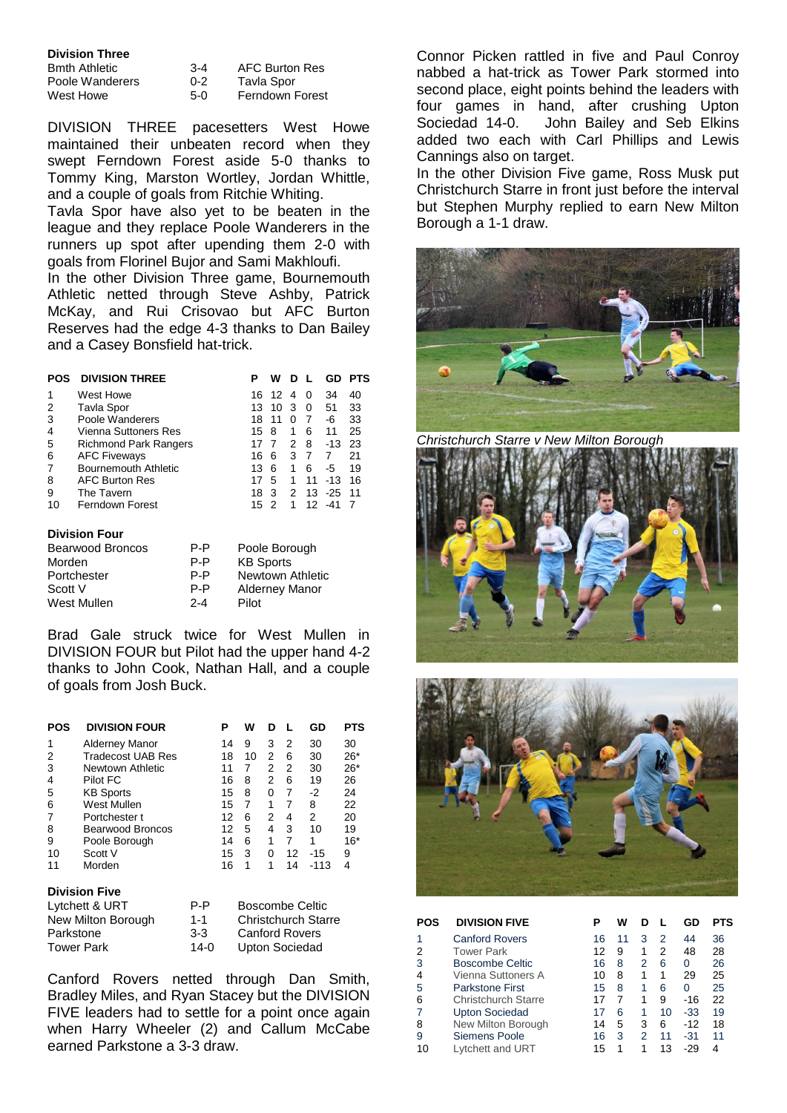|  | <b>Division Three</b> |
|--|-----------------------|
|  |                       |

| Bmth Athletic   |
|-----------------|
| Poole Wanderers |
| West Howe       |

3-4 AFC Burton Res 0-2 Tavla Spor 5-0 Ferndown Forest

DIVISION THREE pacesetters West Howe maintained their unbeaten record when they swept Ferndown Forest aside 5-0 thanks to Tommy King, Marston Wortley, Jordan Whittle, and a couple of goals from Ritchie Whiting.

Tavla Spor have also yet to be beaten in the league and they replace Poole Wanderers in the runners up spot after upending them 2-0 with goals from Florinel Bujor and Sami Makhloufi.

In the other Division Three game, Bournemouth Athletic netted through Steve Ashby, Patrick McKay, and Rui Crisovao but AFC Burton Reserves had the edge 4-3 thanks to Dan Bailey and a Casey Bonsfield hat-trick.

| POS | <b>DIVISION THREE</b>        |     | w   | D |    | GD        | PTS |
|-----|------------------------------|-----|-----|---|----|-----------|-----|
| 1   | West Howe                    | 16  | 12. | 4 | 0  | 34        | 40  |
| 2   | Tavla Spor                   | 13. | 10  | 3 | 0  | 51        | 33  |
| 3   | Poole Wanderers              | 18  | 11  | 0 | 7  | -6        | 33  |
| 4   | Vienna Suttoners Res         | 15  | 8   | 1 | 6  | 11        | 25  |
| 5   | <b>Richmond Park Rangers</b> | 17  |     | 2 | 8  | $-13$     | 23  |
| 6   | <b>AFC Fiveways</b>          | 16  | 6   | 3 | 7  | 7         | 21  |
| 7   | Bournemouth Athletic         | 13  | 6   | 1 | 6  | -5        | 19  |
| 8   | <b>AFC Burton Res</b>        | 17  | 5   | 1 | 11 | $-13$     | 16  |
| 9   | The Tavern                   | 18  | 3   | 2 |    | $13 - 25$ | 11  |
| 10  | Ferndown Forest              | 15  | 2   | 1 |    | $12 - 41$ |     |

# **Division Four**

| <b>Bearwood Broncos</b> | P-P     | Poole Borough         |
|-------------------------|---------|-----------------------|
| Morden                  | P-P     | <b>KB Sports</b>      |
| Portchester             | P-P     | Newtown Athletic      |
| Scott V                 | P-P     | <b>Alderney Manor</b> |
| West Mullen             | $2 - 4$ | Pilot                 |

Brad Gale struck twice for West Mullen in DIVISION FOUR but Pilot had the upper hand 4-2 thanks to John Cook, Nathan Hall, and a couple of goals from Josh Buck.

| POS | <b>DIVISION FOUR</b>     | Р  | w  |   |    | GD    | PTS   |
|-----|--------------------------|----|----|---|----|-------|-------|
| 1   | <b>Alderney Manor</b>    | 14 | 9  | 3 | 2  | 30    | 30    |
| 2   | <b>Tradecost UAB Res</b> | 18 | 10 | 2 | 6  | 30    | $26*$ |
| 3   | Newtown Athletic         | 11 | 7  | 2 | 2  | 30    | $26*$ |
| 4   | Pilot FC                 | 16 | 8  | 2 | 6  | 19    | 26    |
| 5   | <b>KB Sports</b>         | 15 | 8  | O | 7  | -2    | 24    |
| 6   | West Mullen              | 15 | 7  | 1 | 7  | 8     | 22    |
| 7   | Portchester t            | 12 | 6  | 2 | 4  | 2     | 20    |
| 8   | Bearwood Broncos         | 12 | 5  | 4 | 3  | 10    | 19    |
| 9   | Poole Borough            | 14 | 6  | 1 | 7  | 1     | $16*$ |
| 10  | Scott V                  | 15 | 3  | 0 | 12 | $-15$ | 9     |
| 11  | Morden                   | 16 | 1  | 1 | 14 | -113  | 4     |

# **Division Five**

| Lytchett & URT     | P-P     | <b>Boscombe Celtic</b>     |
|--------------------|---------|----------------------------|
| New Milton Borough | $1 - 1$ | <b>Christchurch Starre</b> |
| Parkstone          | $3-3$   | <b>Canford Rovers</b>      |
| <b>Tower Park</b>  | $14-0$  | Upton Sociedad             |

Canford Rovers netted through Dan Smith, Bradley Miles, and Ryan Stacey but the DIVISION FIVE leaders had to settle for a point once again when Harry Wheeler (2) and Callum McCabe earned Parkstone a 3-3 draw.

Connor Picken rattled in five and Paul Conroy nabbed a hat-trick as Tower Park stormed into second place, eight points behind the leaders with four games in hand, after crushing Upton Sociedad 14-0. John Bailey and Seb Elkins added two each with Carl Phillips and Lewis Cannings also on target.

In the other Division Five game, Ross Musk put Christchurch Starre in front just before the interval but Stephen Murphy replied to earn New Milton Borough a 1-1 draw.



*Christchurch Starre v New Milton Borough*





| <b>POS</b> | <b>DIVISION FIVE</b>   | P  | w  |   |    | GD    | PTS |
|------------|------------------------|----|----|---|----|-------|-----|
| 1          | <b>Canford Rovers</b>  | 16 | 11 | 3 | 2  | 44    | 36  |
| 2          | <b>Tower Park</b>      | 12 | 9  | 1 | 2  | 48    | 28  |
| 3          | Boscombe Celtic        | 16 | 8  | 2 | 6  | 0     | 26  |
| 4          | Vienna Suttoners A     | 10 | 8  | 1 | 1  | 29    | 25  |
| 5          | <b>Parkstone First</b> | 15 | 8  | 1 | 6  | 0     | 25  |
| 6          | Christchurch Starre    | 17 |    | 1 | 9  | -16   | 22  |
| 7          | <b>Upton Sociedad</b>  | 17 | 6  | 1 | 10 | $-33$ | 19  |
| 8          | New Milton Borough     | 14 | 5  | 3 | 6  | $-12$ | 18  |
| 9          | Siemens Poole          | 16 | 3  | 2 | 11 | $-31$ | 11  |
| 10         | Lytchett and URT       | 15 | 1  |   | 13 | -29   | 4   |
|            |                        |    |    |   |    |       |     |